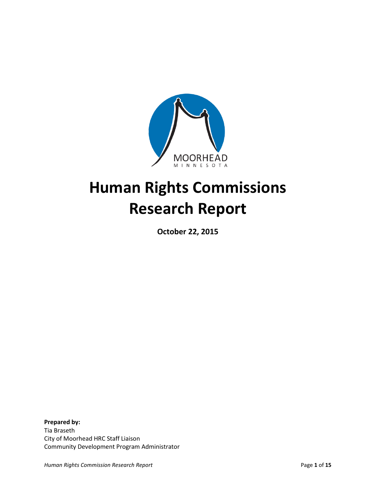

# **Human Rights Commissions Research Report**

**October 22, 2015**

**Prepared by:**  Tia Braseth City of Moorhead HRC Staff Liaison Community Development Program Administrator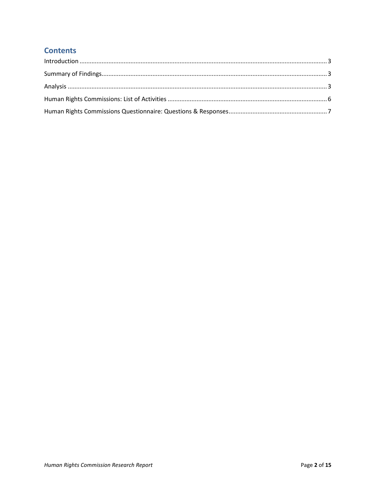## **Contents**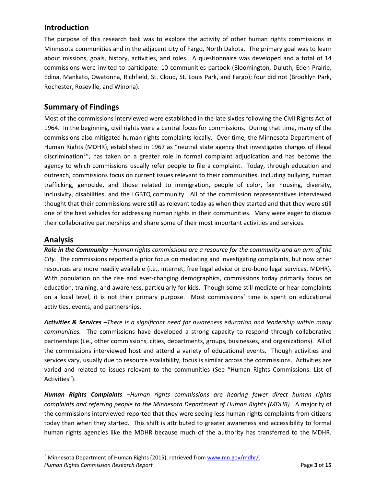#### <span id="page-2-0"></span>**Introduction**

The purpose of this research task was to explore the activity of other human rights commissions in Minnesota communities and in the adjacent city of Fargo, North Dakota. The primary goal was to learn about missions, goals, history, activities, and roles. A questionnaire was developed and a total of 14 commissions were invited to participate: 10 communities partook (Bloomington, Duluth, Eden Prairie, Edina, Mankato, Owatonna, Richfield, St. Cloud, St. Louis Park, and Fargo); four did not (Brooklyn Park, Rochester, Roseville, and Winona).

## <span id="page-2-1"></span>**Summary of Findings**

Most of the commissions interviewed were established in the late sixties following the Civil Rights Act of 1964. In the beginning, civil rights were a central focus for commissions. During that time, many of the commissions also mitigated human rights complaints locally. Over time, the Minnesota Department of Human Rights (MDHR), established in 1967 as "neutral state agency that investigates charges of illegal discrimination<sup>[1](#page-2-3)</sup>", has taken on a greater role in formal complaint adjudication and has become the agency to which commissions usually refer people to file a complaint. Today, through education and outreach, commissions focus on current issues relevant to their communities, including bullying, human trafficking, genocide, and those related to immigration, people of color, fair housing, diversity, inclusivity, disabilities, and the LGBTQ community. All of the commission representatives interviewed thought that their commissions were still as relevant today as when they started and that they were still one of the best vehicles for addressing human rights in their communities. Many were eager to discuss their collaborative partnerships and share some of their most important activities and services.

#### <span id="page-2-2"></span>**Analysis**

*Role in the Community –Human rights commissions are a resource for the community and an arm of the City.* The commissions reported a prior focus on mediating and investigating complaints, but now other resources are more readily available (i.e., internet, free legal advice or pro-bono legal services, MDHR). With population on the rise and ever-changing demographics, commissions today primarily focus on education, training, and awareness, particularly for kids. Though some still mediate or hear complaints on a local level, it is not their primary purpose. Most commissions' time is spent on educational activities, events, and partnerships.

*Activities & Services –There is a significant need for awareness education and leadership within many communities.* The commissions have developed a strong capacity to respond through collaborative partnerships (i.e., other commissions, cities, departments, groups, businesses, and organizations). All of the commissions interviewed host and attend a variety of educational events. Though activities and services vary, usually due to resource availability, focus is similar across the commissions. Activities are varied and related to issues relevant to the communities (See "Human Rights Commissions: List of Activities").

*Human Rights Complaints –Human rights commissions are hearing fewer direct human rights complaints and referring people to the Minnesota Department of Human Rights (MDHR).* A majority of the commissions interviewed reported that they were seeing less human rights complaints from citizens today than when they started. This shift is attributed to greater awareness and accessibility to formal human rights agencies like the MDHR because much of the authority has transferred to the MDHR.

<span id="page-2-3"></span>*Human Rights Commission Research Report* **Page 1** and *Page 1* of **15** and *Page 1* of **15** and *Page 1* of **15** <sup>1</sup> Minnesota Department of Human Rights (2015), retrieved from www.mn.gov/mdhr/.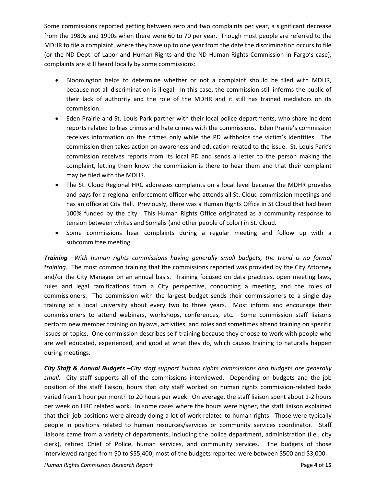Some commissions reported getting between zero and two complaints per year, a significant decrease from the 1980s and 1990s when there were 60 to 70 per year. Though most people are referred to the MDHR to file a complaint, where they have up to one year from the date the discrimination occurs to file (or the ND Dept. of Labor and Human Rights and the ND Human Rights Commission in Fargo's case), complaints are still heard locally by some commissions:

- Bloomington helps to determine whether or not a complaint should be filed with MDHR, because not all discrimination is illegal. In this case, the commission still informs the public of their lack of authority and the role of the MDHR and it still has trained mediators on its commission.
- Eden Prairie and St. Louis Park partner with their local police departments, who share incident reports related to bias crimes and hate crimes with the commissions. Eden Prairie's commission receives information on the crimes only while the PD withholds the victim's identities. The commission then takes action on awareness and education related to the issue. St. Louis Park's commission receives reports from its local PD and sends a letter to the person making the complaint, letting them know the commission is there to hear them and that their complaint may be filed with the MDHR.
- The St. Cloud Regional HRC addresses complaints on a local level because the MDHR provides and pays for a regional enforcement officer who attends all St. Cloud commission meetings and has an office at City Hall. Previously, there was a Human Rights Office in St Cloud that had been 100% funded by the city. This Human Rights Office originated as a community response to tension between whites and Somalis (and other people of color) in St. Cloud.
- Some commissions hear complaints during a regular meeting and follow up with a subcommittee meeting.

*Training –With human rights commissions having generally small budgets, the trend is no formal training.* The most common training that the commissions reported was provided by the City Attorney and/or the City Manager on an annual basis. Training focused on data practices, open meeting laws, rules and legal ramifications from a City perspective, conducting a meeting, and the roles of commissioners. The commission with the largest budget sends their commissioners to a single day training at a local university about every two to three years. Most inform and encourage their commissioners to attend webinars, workshops, conferences, etc. Some commission staff liaisons perform new member training on bylaws, activities, and roles and sometimes attend training on specific issues or topics. One commission describes self-training because they choose to work with people who are well educated, experienced, and good at what they do, which causes training to naturally happen during meetings.

*City Staff & Annual Budgets –City staff support human rights commissions and budgets are generally small.* City staff supports all of the commissions interviewed. Depending on budgets and the job position of the staff liaison, hours that city staff worked on human rights commission-related tasks varied from 1 hour per month to 20 hours per week. On average, the staff liaison spent about 1-2 hours per week on HRC related work. In some cases where the hours were higher, the staff liaison explained that their job positions were already doing a lot of work related to human rights. Those were typically people in positions related to human resources/services or community services coordinator. Staff liaisons came from a variety of departments, including the police department, administration (i.e., city clerk), retired Chief of Police, human services, and community services. The budgets of those interviewed ranged from \$0 to \$55,400; most of the budgets reported were between \$500 and \$3,000.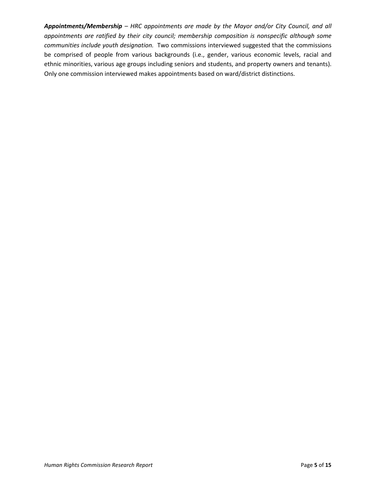*Appointments/Membership – HRC appointments are made by the Mayor and/or City Council, and all appointments are ratified by their city council; membership composition is nonspecific although some communities include youth designation.* Two commissions interviewed suggested that the commissions be comprised of people from various backgrounds (i.e., gender, various economic levels, racial and ethnic minorities, various age groups including seniors and students, and property owners and tenants). Only one commission interviewed makes appointments based on ward/district distinctions.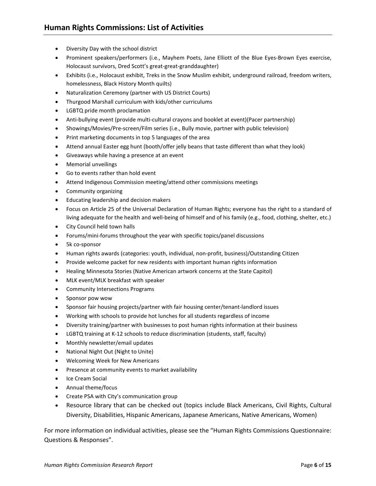- <span id="page-5-0"></span>• Diversity Day with the school district
- Prominent speakers/performers (i.e., Mayhem Poets, Jane Elliott of the Blue Eyes-Brown Eyes exercise, Holocaust survivors, Dred Scott's great-great-granddaughter)
- Exhibits (i.e., Holocaust exhibit, Treks in the Snow Muslim exhibit, underground railroad, freedom writers, homelessness, Black History Month quilts)
- Naturalization Ceremony (partner with US District Courts)
- Thurgood Marshall curriculum with kids/other curriculums
- LGBTQ pride month proclamation
- Anti-bullying event (provide multi-cultural crayons and booklet at event)(Pacer partnership)
- Showings/Movies/Pre-screen/Film series (i.e., Bully movie, partner with public television)
- Print marketing documents in top 5 languages of the area
- Attend annual Easter egg hunt (booth/offer jelly beans that taste different than what they look)
- Giveaways while having a presence at an event
- Memorial unveilings
- Go to events rather than hold event
- Attend Indigenous Commission meeting/attend other commissions meetings
- Community organizing
- Educating leadership and decision makers
- Focus on Article 25 of the Universal Declaration of Human Rights; everyone has the right to a standard of living adequate for the health and well-being of himself and of his family (e.g., food, clothing, shelter, etc.)
- City Council held town halls
- Forums/mini-forums throughout the year with specific topics/panel discussions
- 5k co-sponsor
- Human rights awards (categories: youth, individual, non-profit, business)/Outstanding Citizen
- Provide welcome packet for new residents with important human rights information
- Healing Minnesota Stories (Native American artwork concerns at the State Capitol)
- MLK event/MLK breakfast with speaker
- Community Intersections Programs
- Sponsor pow wow
- Sponsor fair housing projects/partner with fair housing center/tenant-landlord issues
- Working with schools to provide hot lunches for all students regardless of income
- Diversity training/partner with businesses to post human rights information at their business
- LGBTQ training at K-12 schools to reduce discrimination (students, staff, faculty)
- Monthly newsletter/email updates
- National Night Out (Night to Unite)
- Welcoming Week for New Americans
- Presence at community events to market availability
- Ice Cream Social
- Annual theme/focus
- Create PSA with City's communication group
- Resource library that can be checked out (topics include Black Americans, Civil Rights, Cultural Diversity, Disabilities, Hispanic Americans, Japanese Americans, Native Americans, Women)

For more information on individual activities, please see the "Human Rights Commissions Questionnaire: Questions & Responses".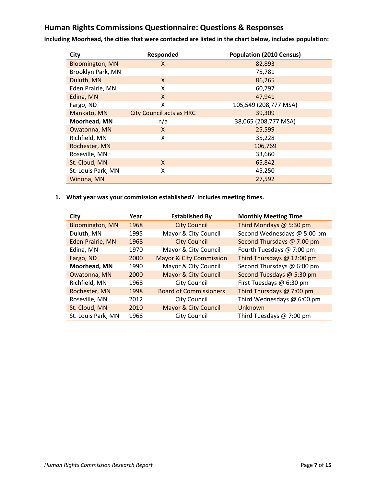## <span id="page-6-0"></span>**Human Rights Commissions Questionnaire: Questions & Responses**

**Including Moorhead, the cities that were contacted are listed in the chart below, includes population:**

| City                   | Responded                       | <b>Population (2010 Census)</b> |
|------------------------|---------------------------------|---------------------------------|
| <b>Bloomington, MN</b> | X                               | 82,893                          |
| Brooklyn Park, MN      |                                 | 75,781                          |
| Duluth, MN             | X                               | 86,265                          |
| Eden Prairie, MN       | X                               | 60,797                          |
| Edina, MN              | X                               | 47,941                          |
| Fargo, ND              | x                               | 105,549 (208,777 MSA)           |
| Mankato, MN            | <b>City Council acts as HRC</b> | 39,309                          |
| Moorhead, MN           | n/a                             | 38,065 (208,777 MSA)            |
| Owatonna, MN           | X                               | 25,599                          |
| Richfield, MN          | X                               | 35,228                          |
| Rochester, MN          |                                 | 106,769                         |
| Roseville, MN          |                                 | 33,660                          |
| St. Cloud, MN          | X                               | 65,842                          |
| St. Louis Park, MN     | X                               | 45,250                          |
| Winona, MN             |                                 | 27,592                          |

**1. What year was your commission established? Includes meeting times.**

| City                    | Year | <b>Established By</b>              | <b>Monthly Meeting Time</b> |
|-------------------------|------|------------------------------------|-----------------------------|
| <b>Bloomington, MN</b>  | 1968 | <b>City Council</b>                | Third Mondays @ 5:30 pm     |
| Duluth, MN              | 1995 | Mayor & City Council               | Second Wednesdays @ 5:00 pm |
| <b>Eden Prairie, MN</b> | 1968 | <b>City Council</b>                | Second Thursdays @ 7:00 pm  |
| Edina, MN               | 1970 | Mayor & City Council               | Fourth Tuesdays @ 7:00 pm   |
| Fargo, ND               | 2000 | <b>Mayor &amp; City Commission</b> | Third Thursdays @ 12:00 pm  |
| Moorhead, MN            | 1990 | Mayor & City Council               | Second Thursdays @ 6:00 pm  |
| Owatonna, MN            | 2000 | <b>Mayor &amp; City Council</b>    | Second Tuesdays @ 5:30 pm   |
| Richfield, MN           | 1968 | <b>City Council</b>                | First Tuesdays @ 6:30 pm    |
| Rochester, MN           | 1998 | <b>Board of Commissioners</b>      | Third Thursdays @ 7:00 pm   |
| Roseville, MN           | 2012 | City Council                       | Third Wednesdays @ 6:00 pm  |
| St. Cloud, MN           | 2010 | <b>Mayor &amp; City Council</b>    | Unknown                     |
| St. Louis Park, MN      | 1968 | City Council                       | Third Tuesdays $@7:00$ pm   |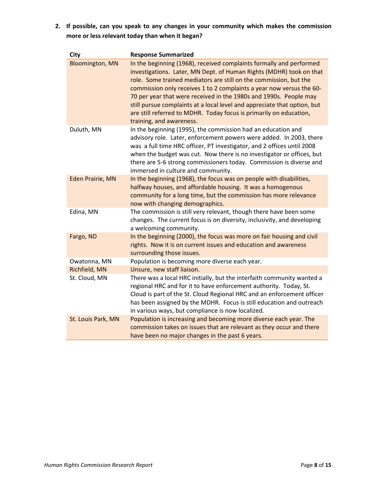**2. If possible, can you speak to any changes in your community which makes the commission more or less relevant today than when it began?**

| <b>City</b>             | <b>Response Summarized</b>                                                                                                                                                                                                                                                                                                                                                                                                                                                                                                                 |
|-------------------------|--------------------------------------------------------------------------------------------------------------------------------------------------------------------------------------------------------------------------------------------------------------------------------------------------------------------------------------------------------------------------------------------------------------------------------------------------------------------------------------------------------------------------------------------|
| <b>Bloomington, MN</b>  | In the beginning (1968), received complaints formally and performed<br>investigations. Later, MN Dept. of Human Rights (MDHR) took on that<br>role. Some trained mediators are still on the commission, but the<br>commission only receives 1 to 2 complaints a year now versus the 60-<br>70 per year that were received in the 1980s and 1990s. People may<br>still pursue complaints at a local level and appreciate that option, but<br>are still referred to MDHR. Today focus is primarily on education,<br>training, and awareness. |
| Duluth, MN              | In the beginning (1995), the commission had an education and<br>advisory role. Later, enforcement powers were added. In 2003, there<br>was a full time HRC officer, PT investigator, and 2 offices until 2008<br>when the budget was cut. Now there is no investigator or offices, but<br>there are 5-6 strong commissioners today. Commission is diverse and<br>immersed in culture and community.                                                                                                                                        |
| <b>Eden Prairie, MN</b> | In the beginning (1968), the focus was on people with disabilities,<br>halfway houses, and affordable housing. It was a homogenous<br>community for a long time, but the commission has more relevance<br>now with changing demographics.                                                                                                                                                                                                                                                                                                  |
| Edina, MN               | The commission is still very relevant, though there have been some<br>changes. The current focus is on diversity, inclusivity, and developing<br>a welcoming community.                                                                                                                                                                                                                                                                                                                                                                    |
| Fargo, ND               | In the beginning (2000), the focus was more on fair housing and civil<br>rights. Now it is on current issues and education and awareness<br>surrounding those issues.                                                                                                                                                                                                                                                                                                                                                                      |
| Owatonna, MN            | Population is becoming more diverse each year.                                                                                                                                                                                                                                                                                                                                                                                                                                                                                             |
| Richfield, MN           | Unsure, new staff liaison.                                                                                                                                                                                                                                                                                                                                                                                                                                                                                                                 |
| St. Cloud, MN           | There was a local HRC initially, but the interfaith community wanted a<br>regional HRC and for it to have enforcement authority. Today, St.<br>Cloud is part of the St. Cloud Regional HRC and an enforcement officer<br>has been assigned by the MDHR. Focus is still education and outreach<br>in various ways, but compliance is now localized.                                                                                                                                                                                         |
| St. Louis Park, MN      | Population is increasing and becoming more diverse each year. The<br>commission takes on issues that are relevant as they occur and there<br>have been no major changes in the past 6 years.                                                                                                                                                                                                                                                                                                                                               |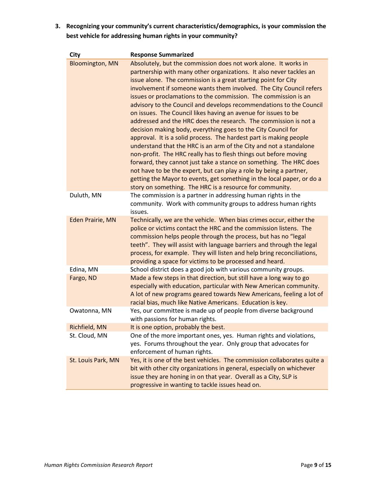**3. Recognizing your community's current characteristics/demographics, is your commission the best vehicle for addressing human rights in your community?**

| <b>City</b>            | <b>Response Summarized</b>                                                                                                                                                                                                                                                                                                                                                                                                                                                                                                                                                                                                                                                                                                                                                                                                                                                                                                                                                                                                                                                                                                         |
|------------------------|------------------------------------------------------------------------------------------------------------------------------------------------------------------------------------------------------------------------------------------------------------------------------------------------------------------------------------------------------------------------------------------------------------------------------------------------------------------------------------------------------------------------------------------------------------------------------------------------------------------------------------------------------------------------------------------------------------------------------------------------------------------------------------------------------------------------------------------------------------------------------------------------------------------------------------------------------------------------------------------------------------------------------------------------------------------------------------------------------------------------------------|
| <b>Bloomington, MN</b> | Absolutely, but the commission does not work alone. It works in<br>partnership with many other organizations. It also never tackles an<br>issue alone. The commission is a great starting point for City<br>involvement if someone wants them involved. The City Council refers<br>issues or proclamations to the commission. The commission is an<br>advisory to the Council and develops recommendations to the Council<br>on issues. The Council likes having an avenue for issues to be<br>addressed and the HRC does the research. The commission is not a<br>decision making body, everything goes to the City Council for<br>approval. It is a solid process. The hardest part is making people<br>understand that the HRC is an arm of the City and not a standalone<br>non-profit. The HRC really has to flesh things out before moving<br>forward, they cannot just take a stance on something. The HRC does<br>not have to be the expert, but can play a role by being a partner,<br>getting the Mayor to events, get something in the local paper, or do a<br>story on something. The HRC is a resource for community. |
| Duluth, MN             | The commission is a partner in addressing human rights in the<br>community. Work with community groups to address human rights<br>issues.                                                                                                                                                                                                                                                                                                                                                                                                                                                                                                                                                                                                                                                                                                                                                                                                                                                                                                                                                                                          |
| Eden Prairie, MN       | Technically, we are the vehicle. When bias crimes occur, either the<br>police or victims contact the HRC and the commission listens. The<br>commission helps people through the process, but has no "legal<br>teeth". They will assist with language barriers and through the legal<br>process, for example. They will listen and help bring reconciliations,<br>providing a space for victims to be processed and heard.                                                                                                                                                                                                                                                                                                                                                                                                                                                                                                                                                                                                                                                                                                          |
| Edina, MN              | School district does a good job with various community groups.                                                                                                                                                                                                                                                                                                                                                                                                                                                                                                                                                                                                                                                                                                                                                                                                                                                                                                                                                                                                                                                                     |
| Fargo, ND              | Made a few steps in that direction, but still have a long way to go<br>especially with education, particular with New American community.<br>A lot of new programs geared towards New Americans, feeling a lot of<br>racial bias, much like Native Americans. Education is key.                                                                                                                                                                                                                                                                                                                                                                                                                                                                                                                                                                                                                                                                                                                                                                                                                                                    |
| Owatonna, MN           | Yes, our committee is made up of people from diverse background<br>with passions for human rights.                                                                                                                                                                                                                                                                                                                                                                                                                                                                                                                                                                                                                                                                                                                                                                                                                                                                                                                                                                                                                                 |
| Richfield, MN          | It is one option, probably the best.                                                                                                                                                                                                                                                                                                                                                                                                                                                                                                                                                                                                                                                                                                                                                                                                                                                                                                                                                                                                                                                                                               |
| St. Cloud, MN          | One of the more important ones, yes. Human rights and violations,<br>yes. Forums throughout the year. Only group that advocates for<br>enforcement of human rights.                                                                                                                                                                                                                                                                                                                                                                                                                                                                                                                                                                                                                                                                                                                                                                                                                                                                                                                                                                |
| St. Louis Park, MN     | Yes, it is one of the best vehicles. The commission collaborates quite a<br>bit with other city organizations in general, especially on whichever<br>issue they are honing in on that year. Overall as a City, SLP is<br>progressive in wanting to tackle issues head on.                                                                                                                                                                                                                                                                                                                                                                                                                                                                                                                                                                                                                                                                                                                                                                                                                                                          |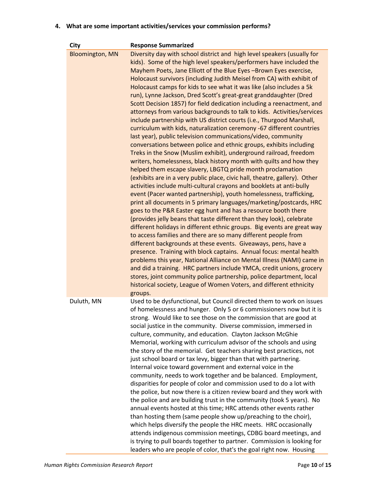#### **4. What are some important activities/services your commission performs?**

| City                   | <b>Response Summarized</b>                                                                                                                                                                                                                                                                                                                                                                                                                                                                                                                                                                                                                                                                                                                                                                                                                                                                                                                                                                                                                                                                                                                                                                                                                                                                                                                                                                                                                                                                                                                                                                                                                                                                                                                                                                                                                                                                                                                                                                                                                                                                                                                         |
|------------------------|----------------------------------------------------------------------------------------------------------------------------------------------------------------------------------------------------------------------------------------------------------------------------------------------------------------------------------------------------------------------------------------------------------------------------------------------------------------------------------------------------------------------------------------------------------------------------------------------------------------------------------------------------------------------------------------------------------------------------------------------------------------------------------------------------------------------------------------------------------------------------------------------------------------------------------------------------------------------------------------------------------------------------------------------------------------------------------------------------------------------------------------------------------------------------------------------------------------------------------------------------------------------------------------------------------------------------------------------------------------------------------------------------------------------------------------------------------------------------------------------------------------------------------------------------------------------------------------------------------------------------------------------------------------------------------------------------------------------------------------------------------------------------------------------------------------------------------------------------------------------------------------------------------------------------------------------------------------------------------------------------------------------------------------------------------------------------------------------------------------------------------------------------|
| <b>Bloomington, MN</b> | Diversity day with school district and high level speakers (usually for<br>kids). Some of the high level speakers/performers have included the<br>Mayhem Poets, Jane Elliott of the Blue Eyes -Brown Eyes exercise,<br>Holocaust survivors (including Judith Meisel from CA) with exhibit of<br>Holocaust camps for kids to see what it was like (also includes a 5k<br>run), Lynne Jackson, Dred Scott's great-great granddaughter (Dred<br>Scott Decision 1857) for field dedication including a reenactment, and<br>attorneys from various backgrounds to talk to kids. Activities/services<br>include partnership with US district courts (i.e., Thurgood Marshall,<br>curriculum with kids, naturalization ceremony -67 different countries<br>last year), public television communications/video, community<br>conversations between police and ethnic groups, exhibits including<br>Treks in the Snow (Muslim exhibit), underground railroad, freedom<br>writers, homelessness, black history month with quilts and how they<br>helped them escape slavery, LBGTQ pride month proclamation<br>(exhibits are in a very public place, civic hall, theatre, gallery). Other<br>activities include multi-cultural crayons and booklets at anti-bully<br>event (Pacer wanted partnership), youth homelessness, trafficking,<br>print all documents in 5 primary languages/marketing/postcards, HRC<br>goes to the P&R Easter egg hunt and has a resource booth there<br>(provides jelly beans that taste different than they look), celebrate<br>different holidays in different ethnic groups. Big events are great way<br>to access families and there are so many different people from<br>different backgrounds at these events. Giveaways, pens, have a<br>presence. Training with block captains. Annual focus: mental health<br>problems this year, National Alliance on Mental Illness (NAMI) came in<br>and did a training. HRC partners include YMCA, credit unions, grocery<br>stores, joint community police partnership, police department, local<br>historical society, League of Women Voters, and different ethnicity<br>groups. |
| Duluth, MN             | Used to be dysfunctional, but Council directed them to work on issues<br>of homelessness and hunger. Only 5 or 6 commissioners now but it is<br>strong. Would like to see those on the commission that are good at<br>social justice in the community. Diverse commission, immersed in<br>culture, community, and education. Clayton Jackson McGhie<br>Memorial, working with curriculum advisor of the schools and using<br>the story of the memorial. Get teachers sharing best practices, not<br>just school board or tax levy, bigger than that with partnering.<br>Internal voice toward government and external voice in the<br>community, needs to work together and be balanced. Employment,<br>disparities for people of color and commission used to do a lot with<br>the police, but now there is a citizen review board and they work with<br>the police and are building trust in the community (took 5 years). No<br>annual events hosted at this time; HRC attends other events rather<br>than hosting them (same people show up/preaching to the choir),<br>which helps diversify the people the HRC meets. HRC occasionally<br>attends indigenous commission meetings, CDBG board meetings, and<br>is trying to pull boards together to partner. Commission is looking for<br>leaders who are people of color, that's the goal right now. Housing                                                                                                                                                                                                                                                                                                                                                                                                                                                                                                                                                                                                                                                                                                                                                                                 |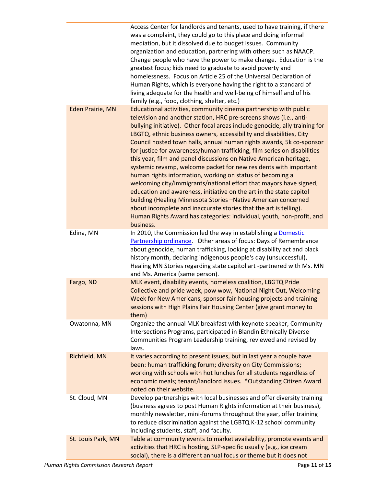|                         | Access Center for landlords and tenants, used to have training, if there<br>was a complaint, they could go to this place and doing informal<br>mediation, but it dissolved due to budget issues. Community<br>organization and education, partnering with others such as NAACP.<br>Change people who have the power to make change. Education is the<br>greatest focus; kids need to graduate to avoid poverty and<br>homelessness. Focus on Article 25 of the Universal Declaration of<br>Human Rights, which is everyone having the right to a standard of<br>living adequate for the health and well-being of himself and of his<br>family (e.g., food, clothing, shelter, etc.)                                                                                                                                                                                                                                                                                                                                  |
|-------------------------|----------------------------------------------------------------------------------------------------------------------------------------------------------------------------------------------------------------------------------------------------------------------------------------------------------------------------------------------------------------------------------------------------------------------------------------------------------------------------------------------------------------------------------------------------------------------------------------------------------------------------------------------------------------------------------------------------------------------------------------------------------------------------------------------------------------------------------------------------------------------------------------------------------------------------------------------------------------------------------------------------------------------|
| <b>Eden Prairie, MN</b> | Educational activities, community cinema partnership with public<br>television and another station, HRC pre-screens shows (i.e., anti-<br>bullying initiative). Other focal areas include genocide, ally training for<br>LBGTQ, ethnic business owners, accessibility and disabilities, City<br>Council hosted town halls, annual human rights awards, 5k co-sponsor<br>for justice for awareness/human trafficking, film series on disabilities<br>this year, film and panel discussions on Native American heritage,<br>systemic revamp, welcome packet for new residents with important<br>human rights information, working on status of becoming a<br>welcoming city/immigrants/national effort that mayors have signed,<br>education and awareness, initiative on the art in the state capitol<br>building (Healing Minnesota Stories -Native American concerned<br>about incomplete and inaccurate stories that the art is telling).<br>Human Rights Award has categories: individual, youth, non-profit, and |
| Edina, MN               | business.<br>In 2010, the Commission led the way in establishing a Domestic<br>Partnership ordinance. Other areas of focus: Days of Remembrance<br>about genocide, human trafficking, looking at disability act and black<br>history month, declaring indigenous people's day (unsuccessful),<br>Healing MN Stories regarding state capitol art -partnered with Ms. MN<br>and Ms. America (same person).                                                                                                                                                                                                                                                                                                                                                                                                                                                                                                                                                                                                             |
| Fargo, ND               | MLK event, disability events, homeless coalition, LBGTQ Pride<br>Collective and pride week, pow wow, National Night Out, Welcoming<br>Week for New Americans, sponsor fair housing projects and training<br>sessions with High Plains Fair Housing Center (give grant money to<br>them)                                                                                                                                                                                                                                                                                                                                                                                                                                                                                                                                                                                                                                                                                                                              |
| Owatonna, MN            | Organize the annual MLK breakfast with keynote speaker, Community<br>Intersections Programs, participated in Blandin Ethnically Diverse<br>Communities Program Leadership training, reviewed and revised by<br>laws.                                                                                                                                                                                                                                                                                                                                                                                                                                                                                                                                                                                                                                                                                                                                                                                                 |
| Richfield, MN           | It varies according to present issues, but in last year a couple have<br>been: human trafficking forum; diversity on City Commissions;<br>working with schools with hot lunches for all students regardless of<br>economic meals; tenant/landlord issues. *Outstanding Citizen Award<br>noted on their website.                                                                                                                                                                                                                                                                                                                                                                                                                                                                                                                                                                                                                                                                                                      |
| St. Cloud, MN           | Develop partnerships with local businesses and offer diversity training<br>(business agrees to post Human Rights information at their business),<br>monthly newsletter, mini-forums throughout the year, offer training<br>to reduce discrimination against the LGBTQ K-12 school community<br>including students, staff, and faculty.                                                                                                                                                                                                                                                                                                                                                                                                                                                                                                                                                                                                                                                                               |
| St. Louis Park, MN      | Table at community events to market availability, promote events and<br>activities that HRC is hosting, SLP-specific usually (e.g., ice cream<br>social), there is a different annual focus or theme but it does not                                                                                                                                                                                                                                                                                                                                                                                                                                                                                                                                                                                                                                                                                                                                                                                                 |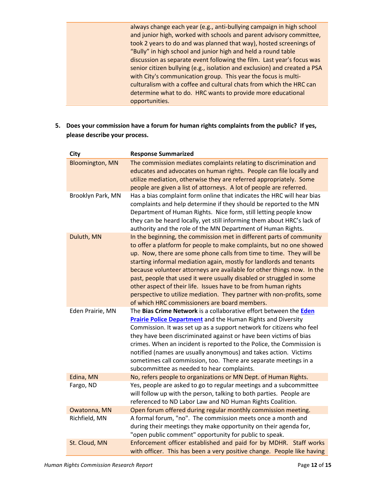always change each year (e.g., anti-bullying campaign in high school and junior high, worked with schools and parent advisory committee, took 2 years to do and was planned that way), hosted screenings of "Bully" in high school and junior high and held a round table discussion as separate event following the film. Last year's focus was senior citizen bullying (e.g., isolation and exclusion) and created a PSA with City's communication group. This year the focus is multiculturalism with a coffee and cultural chats from which the HRC can determine what to do. HRC wants to provide more educational opportunities.

**5. Does your commission have a forum for human rights complaints from the public? If yes, please describe your process.** 

| <b>City</b>            | <b>Response Summarized</b>                                                                                                                                                                                                                                                                                                                                                                                                                                                                                                                                                                                                                |
|------------------------|-------------------------------------------------------------------------------------------------------------------------------------------------------------------------------------------------------------------------------------------------------------------------------------------------------------------------------------------------------------------------------------------------------------------------------------------------------------------------------------------------------------------------------------------------------------------------------------------------------------------------------------------|
| <b>Bloomington, MN</b> | The commission mediates complaints relating to discrimination and<br>educates and advocates on human rights. People can file locally and<br>utilize mediation, otherwise they are referred appropriately. Some<br>people are given a list of attorneys. A lot of people are referred.                                                                                                                                                                                                                                                                                                                                                     |
| Brooklyn Park, MN      | Has a bias complaint form online that indicates the HRC will hear bias<br>complaints and help determine if they should be reported to the MN<br>Department of Human Rights. Nice form, still letting people know<br>they can be heard locally, yet still informing them about HRC's lack of<br>authority and the role of the MN Department of Human Rights.                                                                                                                                                                                                                                                                               |
| Duluth, MN             | In the beginning, the commission met in different parts of community<br>to offer a platform for people to make complaints, but no one showed<br>up. Now, there are some phone calls from time to time. They will be<br>starting informal mediation again, mostly for landlords and tenants<br>because volunteer attorneys are available for other things now. In the<br>past, people that used it were usually disabled or struggled in some<br>other aspect of their life. Issues have to be from human rights<br>perspective to utilize mediation. They partner with non-profits, some<br>of which HRC commissioners are board members. |
| Eden Prairie, MN       | The Bias Crime Network is a collaborative effort between the Eden<br><b>Prairie Police Department</b> and the Human Rights and Diversity<br>Commission. It was set up as a support network for citizens who feel<br>they have been discriminated against or have been victims of bias<br>crimes. When an incident is reported to the Police, the Commission is<br>notified (names are usually anonymous) and takes action. Victims<br>sometimes call commission, too. There are separate meetings in a<br>subcommittee as needed to hear complaints.                                                                                      |
| Edina, MN              | No, refers people to organizations or MN Dept. of Human Rights.                                                                                                                                                                                                                                                                                                                                                                                                                                                                                                                                                                           |
| Fargo, ND              | Yes, people are asked to go to regular meetings and a subcommittee<br>will follow up with the person, talking to both parties. People are<br>referenced to ND Labor Law and ND Human Rights Coalition.                                                                                                                                                                                                                                                                                                                                                                                                                                    |
| Owatonna, MN           | Open forum offered during regular monthly commission meeting.                                                                                                                                                                                                                                                                                                                                                                                                                                                                                                                                                                             |
| Richfield, MN          | A formal forum, "no". The commission meets once a month and<br>during their meetings they make opportunity on their agenda for,<br>"open public comment" opportunity for public to speak.                                                                                                                                                                                                                                                                                                                                                                                                                                                 |
| St. Cloud, MN          | Enforcement officer established and paid for by MDHR. Staff works<br>with officer. This has been a very positive change. People like having                                                                                                                                                                                                                                                                                                                                                                                                                                                                                               |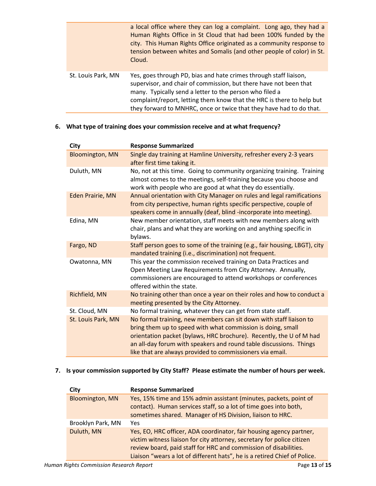|                    | a local office where they can log a complaint. Long ago, they had a<br>Human Rights Office in St Cloud that had been 100% funded by the<br>city. This Human Rights Office originated as a community response to<br>tension between whites and Somalis (and other people of color) in St.<br>Cloud.                                                |
|--------------------|---------------------------------------------------------------------------------------------------------------------------------------------------------------------------------------------------------------------------------------------------------------------------------------------------------------------------------------------------|
| St. Louis Park, MN | Yes, goes through PD, bias and hate crimes through staff liaison,<br>supervisor, and chair of commission, but there have not been that<br>many. Typically send a letter to the person who filed a<br>complaint/report, letting them know that the HRC is there to help but<br>they forward to MNHRC, once or twice that they have had to do that. |

#### **6. What type of training does your commission receive and at what frequency?**

| City                    | <b>Response Summarized</b>                                                                                                                                                                                                                                                                                                                  |
|-------------------------|---------------------------------------------------------------------------------------------------------------------------------------------------------------------------------------------------------------------------------------------------------------------------------------------------------------------------------------------|
| <b>Bloomington, MN</b>  | Single day training at Hamline University, refresher every 2-3 years<br>after first time taking it.                                                                                                                                                                                                                                         |
| Duluth, MN              | No, not at this time. Going to community organizing training. Training<br>almost comes to the meetings, self-training because you choose and<br>work with people who are good at what they do essentially.                                                                                                                                  |
| <b>Eden Prairie, MN</b> | Annual orientation with City Manager on rules and legal ramifications<br>from city perspective, human rights specific perspective, couple of<br>speakers come in annually (deaf, blind -incorporate into meeting).                                                                                                                          |
| Edina, MN               | New member orientation, staff meets with new members along with<br>chair, plans and what they are working on and anything specific in<br>bylaws.                                                                                                                                                                                            |
| Fargo, ND               | Staff person goes to some of the training (e.g., fair housing, LBGT), city<br>mandated training (i.e., discrimination) not frequent.                                                                                                                                                                                                        |
| Owatonna, MN            | This year the commission received training on Data Practices and<br>Open Meeting Law Requirements from City Attorney. Annually,<br>commissioners are encouraged to attend workshops or conferences<br>offered within the state.                                                                                                             |
| Richfield, MN           | No training other than once a year on their roles and how to conduct a<br>meeting presented by the City Attorney.                                                                                                                                                                                                                           |
| St. Cloud, MN           | No formal training, whatever they can get from state staff.                                                                                                                                                                                                                                                                                 |
| St. Louis Park, MN      | No formal training, new members can sit down with staff liaison to<br>bring them up to speed with what commission is doing, small<br>orientation packet (bylaws, HRC brochure). Recently, the U of M had<br>an all-day forum with speakers and round table discussions. Things<br>like that are always provided to commissioners via email. |

#### **7. Is your commission supported by City Staff? Please estimate the number of hours per week.**

| City                   | <b>Response Summarized</b>                                                                                                                                                                                                                                                                     |
|------------------------|------------------------------------------------------------------------------------------------------------------------------------------------------------------------------------------------------------------------------------------------------------------------------------------------|
| <b>Bloomington, MN</b> | Yes, 15% time and 15% admin assistant (minutes, packets, point of<br>contact). Human services staff, so a lot of time goes into both,<br>sometimes shared. Manager of HS Division, liaison to HRC.                                                                                             |
| Brooklyn Park, MN      | Yes                                                                                                                                                                                                                                                                                            |
| Duluth, MN             | Yes, EO, HRC officer, ADA coordinator, fair housing agency partner,<br>victim witness liaison for city attorney, secretary for police citizen<br>review board, paid staff for HRC and commission of disabilities.<br>Liaison "wears a lot of different hats", he is a retired Chief of Police. |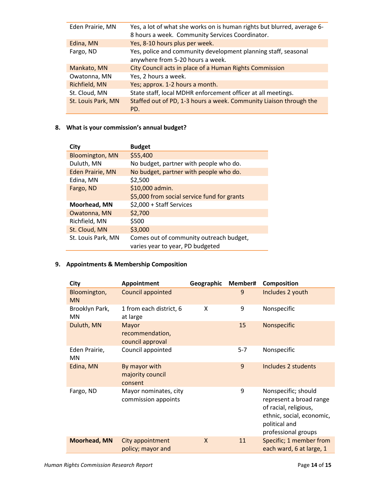| Eden Prairie, MN   | Yes, a lot of what she works on is human rights but blurred, average 6-<br>8 hours a week. Community Services Coordinator. |
|--------------------|----------------------------------------------------------------------------------------------------------------------------|
| Edina, MN          | Yes, 8-10 hours plus per week.                                                                                             |
| Fargo, ND          | Yes, police and community development planning staff, seasonal<br>anywhere from 5-20 hours a week.                         |
| Mankato, MN        | City Council acts in place of a Human Rights Commission                                                                    |
| Owatonna, MN       | Yes, 2 hours a week.                                                                                                       |
| Richfield, MN      | Yes; approx. 1-2 hours a month.                                                                                            |
| St. Cloud, MN      | State staff, local MDHR enforcement officer at all meetings.                                                               |
| St. Louis Park, MN | Staffed out of PD, 1-3 hours a week. Community Liaison through the<br>PD.                                                  |

#### **8. What is your commission's annual budget?**

| City                    | <b>Budget</b>                                                               |
|-------------------------|-----------------------------------------------------------------------------|
| <b>Bloomington, MN</b>  | \$55,400                                                                    |
| Duluth, MN              | No budget, partner with people who do.                                      |
| <b>Eden Prairie, MN</b> | No budget, partner with people who do.                                      |
| Edina, MN               | \$2,500                                                                     |
| Fargo, ND               | \$10,000 admin.                                                             |
|                         | \$5,000 from social service fund for grants                                 |
| Moorhead, MN            | \$2,000 + Staff Services                                                    |
| Owatonna, MN            | \$2,700                                                                     |
| Richfield, MN           | \$500                                                                       |
| St. Cloud, MN           | \$3,000                                                                     |
| St. Louis Park, MN      | Comes out of community outreach budget,<br>varies year to year, PD budgeted |

### **9. Appointments & Membership Composition**

| <b>City</b>                 | Appointment                                  | Geographic | Member# | <b>Composition</b>                                                                                                                           |
|-----------------------------|----------------------------------------------|------------|---------|----------------------------------------------------------------------------------------------------------------------------------------------|
| Bloomington,<br><b>MN</b>   | Council appointed                            |            | 9       | Includes 2 youth                                                                                                                             |
| Brooklyn Park,<br><b>MN</b> | 1 from each district, 6<br>at large          | x          | 9       | Nonspecific                                                                                                                                  |
| Duluth, MN                  | Mayor<br>recommendation,<br>council approval |            | 15      | Nonspecific                                                                                                                                  |
| Eden Prairie,<br><b>MN</b>  | Council appointed                            |            | $5 - 7$ | Nonspecific                                                                                                                                  |
| Edina, MN                   | By mayor with<br>majority council<br>consent |            | 9       | Includes 2 students                                                                                                                          |
| Fargo, ND                   | Mayor nominates, city<br>commission appoints |            | 9       | Nonspecific; should<br>represent a broad range<br>of racial, religious,<br>ethnic, social, economic,<br>political and<br>professional groups |
| <b>Moorhead, MN</b>         | City appointment<br>policy; mayor and        | X          | 11      | Specific; 1 member from<br>each ward, 6 at large, 1                                                                                          |